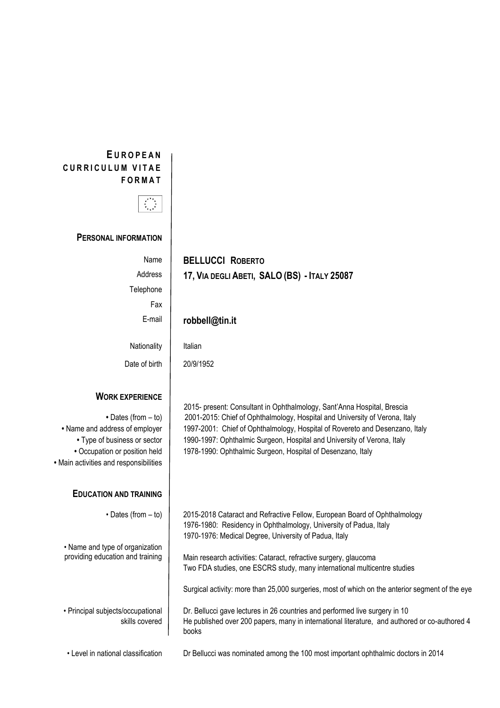## **E U R O P E A N CURRICULUM VITAE F O R M A T**



**PERSONAL INFORMATION**

| Name    | <b>BELLUCCI ROBERTO</b>                      |
|---------|----------------------------------------------|
| Address | 17, VIA DEGLI ABETI, SALO (BS) - ITALY 25087 |

**Telephone** 

Fax

## E-mail **robbell@tin.it**

Nationality

Date of birth | 20/9/1952

## **WORK EXPERIENCE**

**•** Main activities and responsibilities

## **EDUCATION AND TRAINING**

• Name and type of organization

• Principal subjects/occupational skills covered

| Italian |
|---------|
|---------|

2015- present: Consultant in Ophthalmology, Sant'Anna Hospital, Brescia • Dates (from – to) | 2001-2015: Chief of Ophthalmology, Hospital and University of Verona, Italy • Name and address of employer | 1997-2001: Chief of Ophthalmology, Hospital of Rovereto and Desenzano, Italy • Type of business or sector | 1990-1997: Ophthalmic Surgeon, Hospital and University of Verona, Italy • Occupation or position held | 1978-1990: Ophthalmic Surgeon, Hospital of Desenzano, Italy

> • Dates (from – to) | 2015-2018 Cataract and Refractive Fellow, European Board of Ophthalmology 1976-1980: Residency in Ophthalmology, University of Padua, Italy 1970-1976: Medical Degree, University of Padua, Italy

providing education and training | Main research activities: Cataract, refractive surgery, glaucoma Two FDA studies, one ESCRS study, many international multicentre studies

Surgical activity: more than 25,000 surgeries, most of which on the anterior segment of the eye

Dr. Bellucci gave lectures in 26 countries and performed live surgery in 10 He published over 200 papers, many in international literature, and authored or co-authored 4 books

• Level in national classification Dr Bellucci was nominated among the 100 most important ophthalmic doctors in 2014